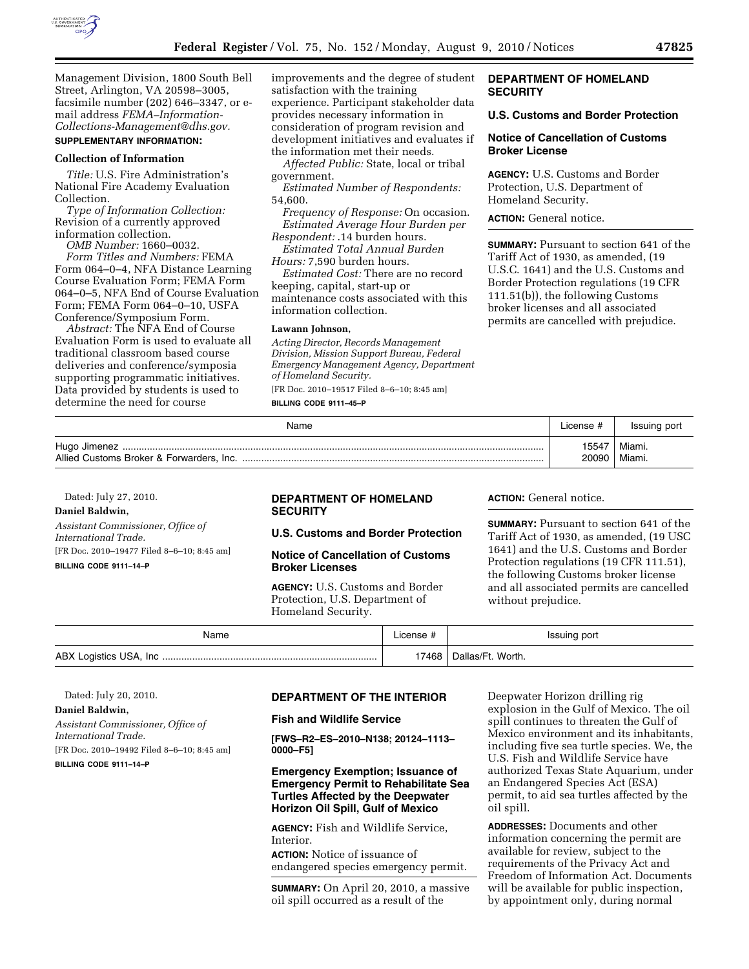

Management Division, 1800 South Bell Street, Arlington, VA 20598–3005, facsimile number (202) 646–3347, or email address *[FEMA–Information-](mailto:FEMA-Information-Collections-Management@dhs.gov)[Collections-Management@dhs.gov.](mailto:FEMA-Information-Collections-Management@dhs.gov)*  **SUPPLEMENTARY INFORMATION:** 

## **Collection of Information**

*Title:* U.S. Fire Administration's National Fire Academy Evaluation Collection.

*Type of Information Collection:*  Revision of a currently approved information collection.

*OMB Number:* 1660–0032. *Form Titles and Numbers:* FEMA Form 064–0–4, NFA Distance Learning Course Evaluation Form; FEMA Form 064–0–5, NFA End of Course Evaluation Form; FEMA Form 064–0–10, USFA Conference/Symposium Form.

*Abstract:* The NFA End of Course Evaluation Form is used to evaluate all traditional classroom based course deliveries and conference/symposia supporting programmatic initiatives. Data provided by students is used to determine the need for course

improvements and the degree of student satisfaction with the training experience. Participant stakeholder data provides necessary information in consideration of program revision and development initiatives and evaluates if the information met their needs.

*Affected Public:* State, local or tribal government.

*Estimated Number of Respondents:*  54,600.

*Frequency of Response:* On occasion. *Estimated Average Hour Burden per* 

*Respondent:* .14 burden hours. *Estimated Total Annual Burden Hours:* 7,590 burden hours.

*Estimated Cost:* There are no record keeping, capital, start-up or maintenance costs associated with this information collection.

#### **Lawann Johnson,**

*Acting Director, Records Management Division, Mission Support Bureau, Federal Emergency Management Agency, Department of Homeland Security.* 

[FR Doc. 2010–19517 Filed 8–6–10; 8:45 am] **BILLING CODE 9111–45–P** 

# **DEPARTMENT OF HOMELAND SECURITY**

#### **U.S. Customs and Border Protection**

## **Notice of Cancellation of Customs Broker License**

**AGENCY:** U.S. Customs and Border Protection, U.S. Department of Homeland Security.

#### **ACTION:** General notice.

**SUMMARY:** Pursuant to section 641 of the Tariff Act of 1930, as amended, (19 U.S.C. 1641) and the U.S. Customs and Border Protection regulations (19 CFR 111.51(b)), the following Customs broker licenses and all associated permits are cancelled with prejudice.

| Name | License # | Issuing port |
|------|-----------|--------------|
|      | 15547     | Miami.       |
|      | 20090     | Miami.       |

Dated: July 27, 2010.

#### **Daniel Baldwin,**

*Assistant Commissioner, Office of International Trade.* 

[FR Doc. 2010–19477 Filed 8–6–10; 8:45 am]

**BILLING CODE 9111–14–P** 

## **DEPARTMENT OF HOMELAND SECURITY**

# **U.S. Customs and Border Protection**

## **Notice of Cancellation of Customs Broker Licenses**

**AGENCY:** U.S. Customs and Border Protection, U.S. Department of Homeland Security.

## **ACTION:** General notice.

**SUMMARY:** Pursuant to section 641 of the Tariff Act of 1930, as amended, (19 USC 1641) and the U.S. Customs and Border Protection regulations (19 CFR 111.51), the following Customs broker license and all associated permits are cancelled without prejudice.

| Name                            |      | Issuing port        |
|---------------------------------|------|---------------------|
| ABX<br>USA.<br>Logistics<br>Inc | 7468 | Worth.<br>۱۹۱۹۵/۱۰۱ |

Dated: July 20, 2010.

## **Daniel Baldwin,**

*Assistant Commissioner, Office of International Trade.*  [FR Doc. 2010–19492 Filed 8–6–10; 8:45 am]

**BILLING CODE 9111–14–P** 

#### **DEPARTMENT OF THE INTERIOR**

## **Fish and Wildlife Service**

**[FWS–R2–ES–2010–N138; 20124–1113– 0000–F5]** 

# **Emergency Exemption; Issuance of Emergency Permit to Rehabilitate Sea Turtles Affected by the Deepwater Horizon Oil Spill, Gulf of Mexico**

**AGENCY:** Fish and Wildlife Service, Interior.

**ACTION:** Notice of issuance of endangered species emergency permit.

**SUMMARY:** On April 20, 2010, a massive oil spill occurred as a result of the

Deepwater Horizon drilling rig explosion in the Gulf of Mexico. The oil spill continues to threaten the Gulf of Mexico environment and its inhabitants, including five sea turtle species. We, the U.S. Fish and Wildlife Service have authorized Texas State Aquarium, under an Endangered Species Act (ESA) permit, to aid sea turtles affected by the oil spill.

**ADDRESSES:** Documents and other information concerning the permit are available for review, subject to the requirements of the Privacy Act and Freedom of Information Act. Documents will be available for public inspection, by appointment only, during normal